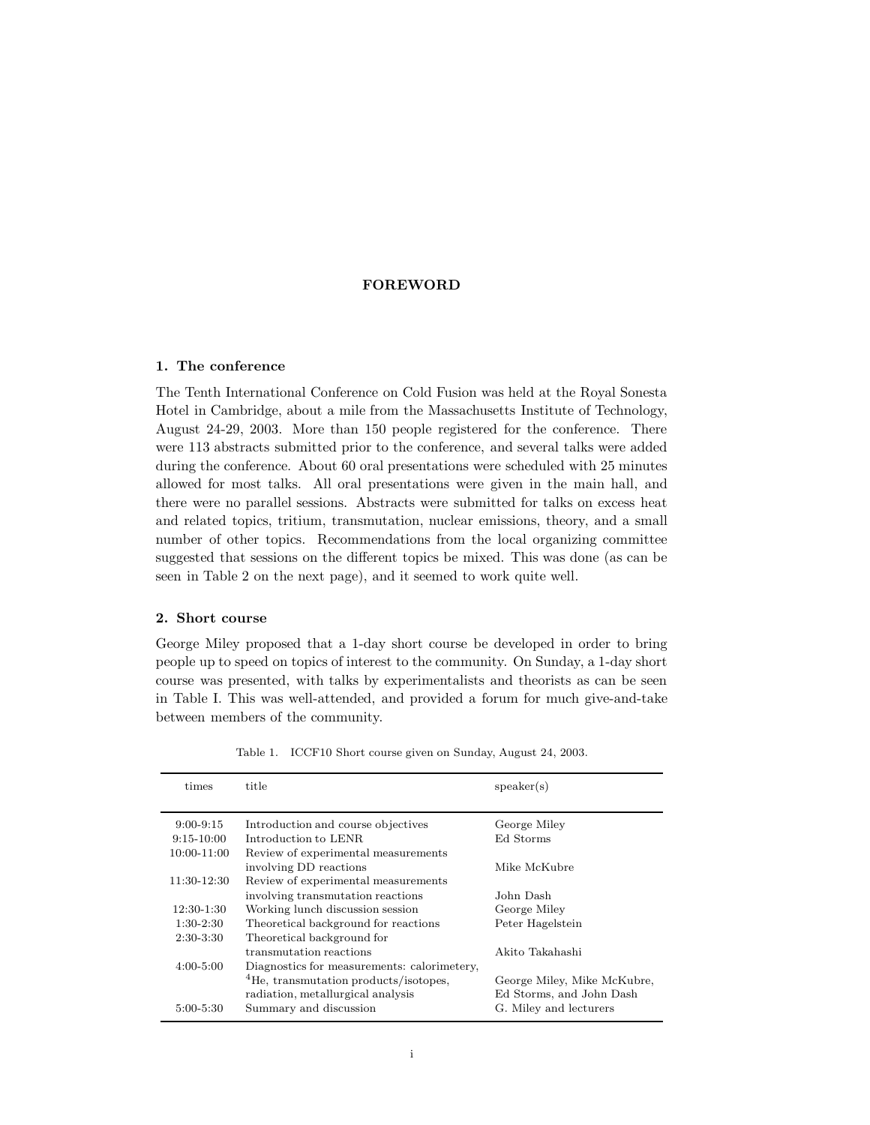# **FOREWORD**

# **1. The conference**

The Tenth International Conference on Cold Fusion was held at the Royal Sonesta Hotel in Cambridge, about a mile from the Massachusetts Institute of Technology, August 24-29, 2003. More than 150 people registered for the conference. There were 113 abstracts submitted prior to the conference, and several talks were added during the conference. About 60 oral presentations were scheduled with 25 minutes allowed for most talks. All oral presentations were given in the main hall, and there were no parallel sessions. Abstracts were submitted for talks on excess heat and related topics, tritium, transmutation, nuclear emissions, theory, and a small number of other topics. Recommendations from the local organizing committee suggested that sessions on the different topics be mixed. This was done (as can be seen in Table 2 on the next page), and it seemed to work quite well.

## **2. Short course**

George Miley proposed that a 1-day short course be developed in order to bring people up to speed on topics of interest to the community. On Sunday, a 1-day short course was presented, with talks by experimentalists and theorists as can be seen in Table I. This was well-attended, and provided a forum for much give-and-take between members of the community.

| times        | title                                             | speaker(s)                  |
|--------------|---------------------------------------------------|-----------------------------|
|              |                                                   |                             |
| $9:00-9:15$  | Introduction and course objectives                | George Miley                |
| $9:15-10:00$ | Introduction to LENR.                             | Ed Storms                   |
| 10:00-11:00  | Review of experimental measurements               |                             |
|              | involving DD reactions                            | Mike McKubre                |
| 11:30-12:30  | Review of experimental measurements               |                             |
|              | involving transmutation reactions                 | John Dash                   |
| 12:30-1:30   | Working lunch discussion session                  | George Miley                |
| $1:30-2:30$  | Theoretical background for reactions              | Peter Hagelstein            |
| $2:30-3:30$  | Theoretical background for                        |                             |
|              | transmutation reactions                           | Akito Takahashi             |
| $4:00-5:00$  | Diagnostics for measurements: calorimetery,       |                             |
|              | <sup>4</sup> He, transmutation products/isotopes, | George Miley, Mike McKubre, |
|              | radiation, metallurgical analysis                 | Ed Storms, and John Dash    |
| 5:00-5:30    | Summary and discussion                            | G. Miley and lecturers      |

Table 1. ICCF10 Short course given on Sunday, August 24, 2003.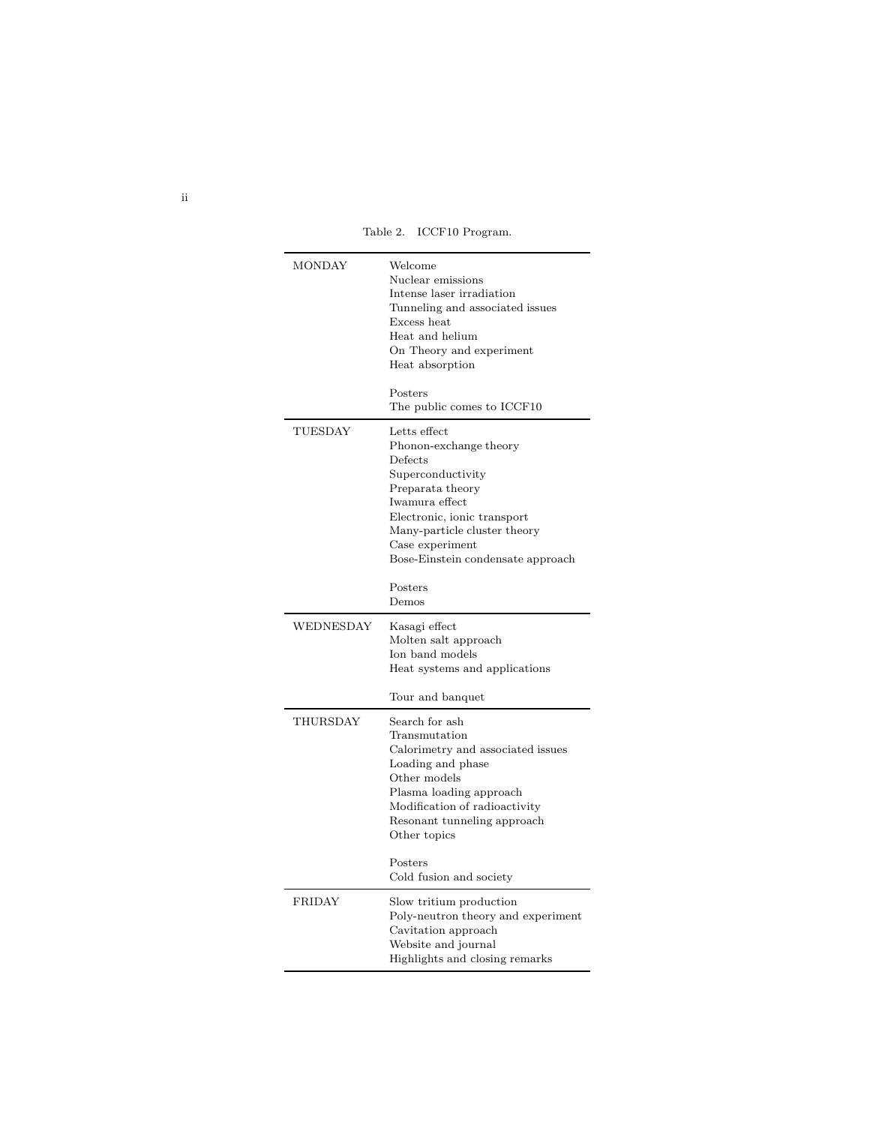MONDAY Welcome Nuclear emissions Intense laser irradiation Tunneling and associated issues Excess heat Heat and helium On Theory and experiment Heat absorption Posters The public comes to ICCF10 TUESDAY Letts effect Phonon-exchange theory Defects Superconductivity Preparata theory Iwamura effect Electronic, ionic transport Many-particle cluster theory Case experiment Bose-Einstein condensate approach Posters Demos WEDNESDAY Kasagi effect Molten salt approach Ion band models Heat systems and applications Tour and banquet THURSDAY Search for ash Transmutation Calorimetry and associated issues Loading and phase Other models Plasma loading approach Modification of radioactivity Resonant tunneling approach Other topics Posters Cold fusion and society FRIDAY Slow tritium production Poly-neutron theory and experiment Cavitation approach Website and journal Highlights and closing remarks

Table 2. ICCF10 Program.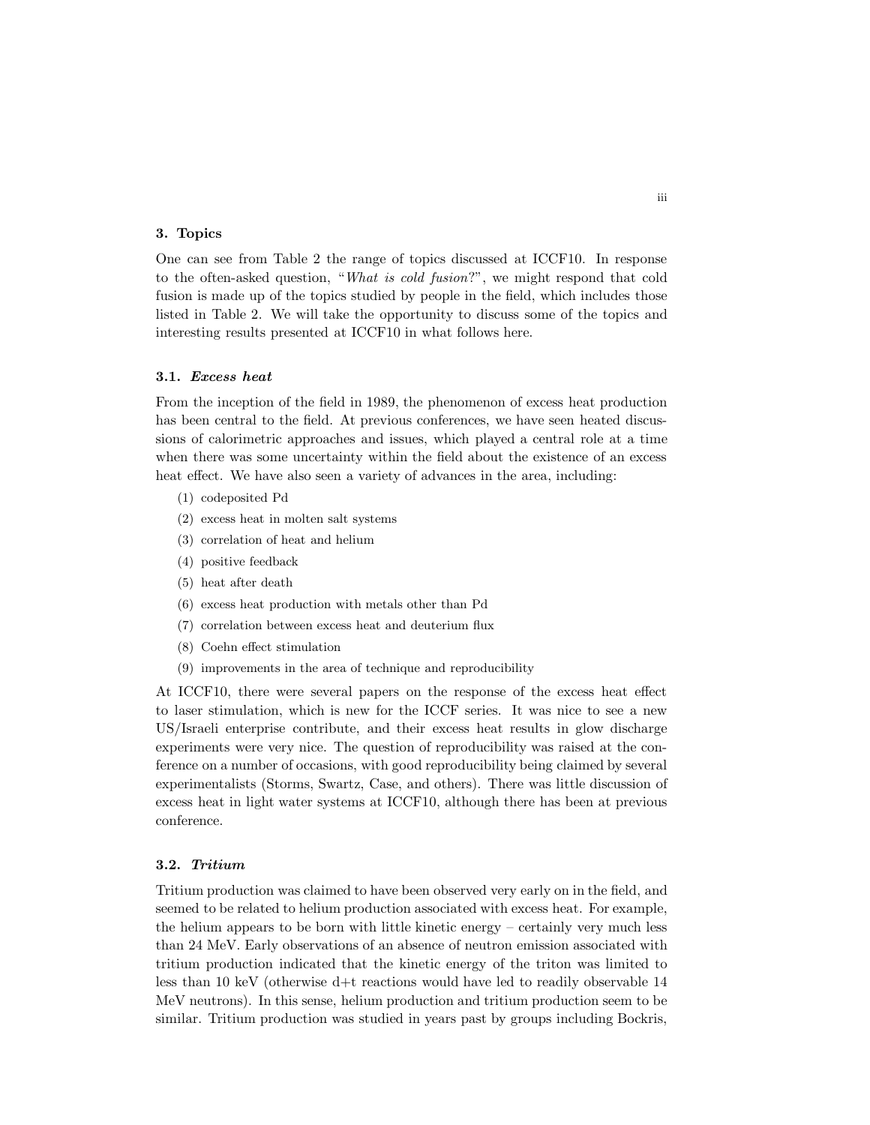## **3. Topics**

One can see from Table 2 the range of topics discussed at ICCF10. In response to the often-asked question, "*What is cold fusion*?", we might respond that cold fusion is made up of the topics studied by people in the field, which includes those listed in Table 2. We will take the opportunity to discuss some of the topics and interesting results presented at ICCF10 in what follows here.

## **3.1.** *Excess heat*

From the inception of the field in 1989, the phenomenon of excess heat production has been central to the field. At previous conferences, we have seen heated discussions of calorimetric approaches and issues, which played a central role at a time when there was some uncertainty within the field about the existence of an excess heat effect. We have also seen a variety of advances in the area, including:

- (1) codeposited Pd
- (2) excess heat in molten salt systems
- (3) correlation of heat and helium
- (4) positive feedback
- (5) heat after death
- (6) excess heat production with metals other than Pd
- (7) correlation between excess heat and deuterium flux
- (8) Coehn effect stimulation
- (9) improvements in the area of technique and reproducibility

At ICCF10, there were several papers on the response of the excess heat effect to laser stimulation, which is new for the ICCF series. It was nice to see a new US/Israeli enterprise contribute, and their excess heat results in glow discharge experiments were very nice. The question of reproducibility was raised at the conference on a number of occasions, with good reproducibility being claimed by several experimentalists (Storms, Swartz, Case, and others). There was little discussion of excess heat in light water systems at ICCF10, although there has been at previous conference.

## **3.2.** *Tritium*

Tritium production was claimed to have been observed very early on in the field, and seemed to be related to helium production associated with excess heat. For example, the helium appears to be born with little kinetic energy – certainly very much less than 24 MeV. Early observations of an absence of neutron emission associated with tritium production indicated that the kinetic energy of the triton was limited to less than 10 keV (otherwise d+t reactions would have led to readily observable 14 MeV neutrons). In this sense, helium production and tritium production seem to be similar. Tritium production was studied in years past by groups including Bockris,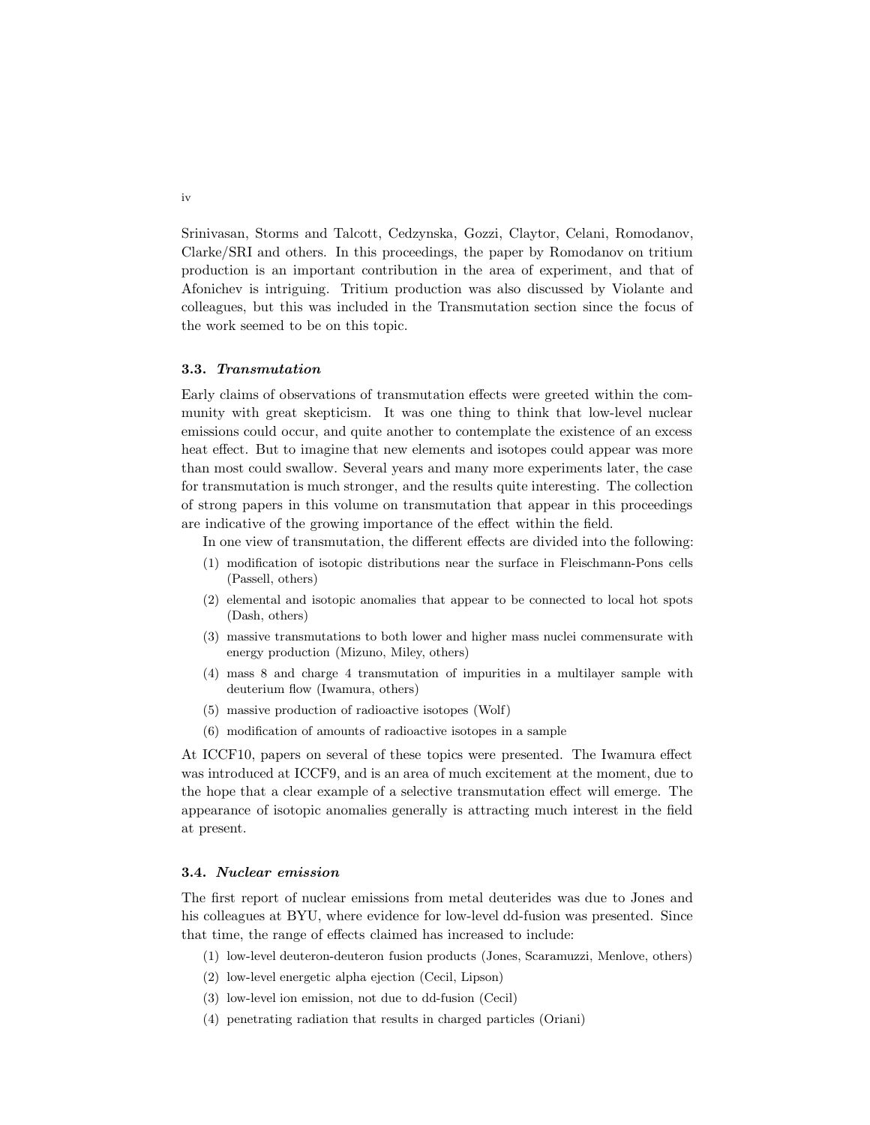Srinivasan, Storms and Talcott, Cedzynska, Gozzi, Claytor, Celani, Romodanov, Clarke/SRI and others. In this proceedings, the paper by Romodanov on tritium production is an important contribution in the area of experiment, and that of Afonichev is intriguing. Tritium production was also discussed by Violante and colleagues, but this was included in the Transmutation section since the focus of the work seemed to be on this topic.

#### **3.3.** *Transmutation*

Early claims of observations of transmutation effects were greeted within the community with great skepticism. It was one thing to think that low-level nuclear emissions could occur, and quite another to contemplate the existence of an excess heat effect. But to imagine that new elements and isotopes could appear was more than most could swallow. Several years and many more experiments later, the case for transmutation is much stronger, and the results quite interesting. The collection of strong papers in this volume on transmutation that appear in this proceedings are indicative of the growing importance of the effect within the field.

In one view of transmutation, the different effects are divided into the following:

- (1) modification of isotopic distributions near the surface in Fleischmann-Pons cells (Passell, others)
- (2) elemental and isotopic anomalies that appear to be connected to local hot spots (Dash, others)
- (3) massive transmutations to both lower and higher mass nuclei commensurate with energy production (Mizuno, Miley, others)
- (4) mass 8 and charge 4 transmutation of impurities in a multilayer sample with deuterium flow (Iwamura, others)
- (5) massive production of radioactive isotopes (Wolf)
- (6) modification of amounts of radioactive isotopes in a sample

At ICCF10, papers on several of these topics were presented. The Iwamura effect was introduced at ICCF9, and is an area of much excitement at the moment, due to the hope that a clear example of a selective transmutation effect will emerge. The appearance of isotopic anomalies generally is attracting much interest in the field at present.

#### **3.4.** *Nuclear emission*

The first report of nuclear emissions from metal deuterides was due to Jones and his colleagues at BYU, where evidence for low-level dd-fusion was presented. Since that time, the range of effects claimed has increased to include:

- (1) low-level deuteron-deuteron fusion products (Jones, Scaramuzzi, Menlove, others)
- (2) low-level energetic alpha ejection (Cecil, Lipson)
- (3) low-level ion emission, not due to dd-fusion (Cecil)
- (4) penetrating radiation that results in charged particles (Oriani)

iv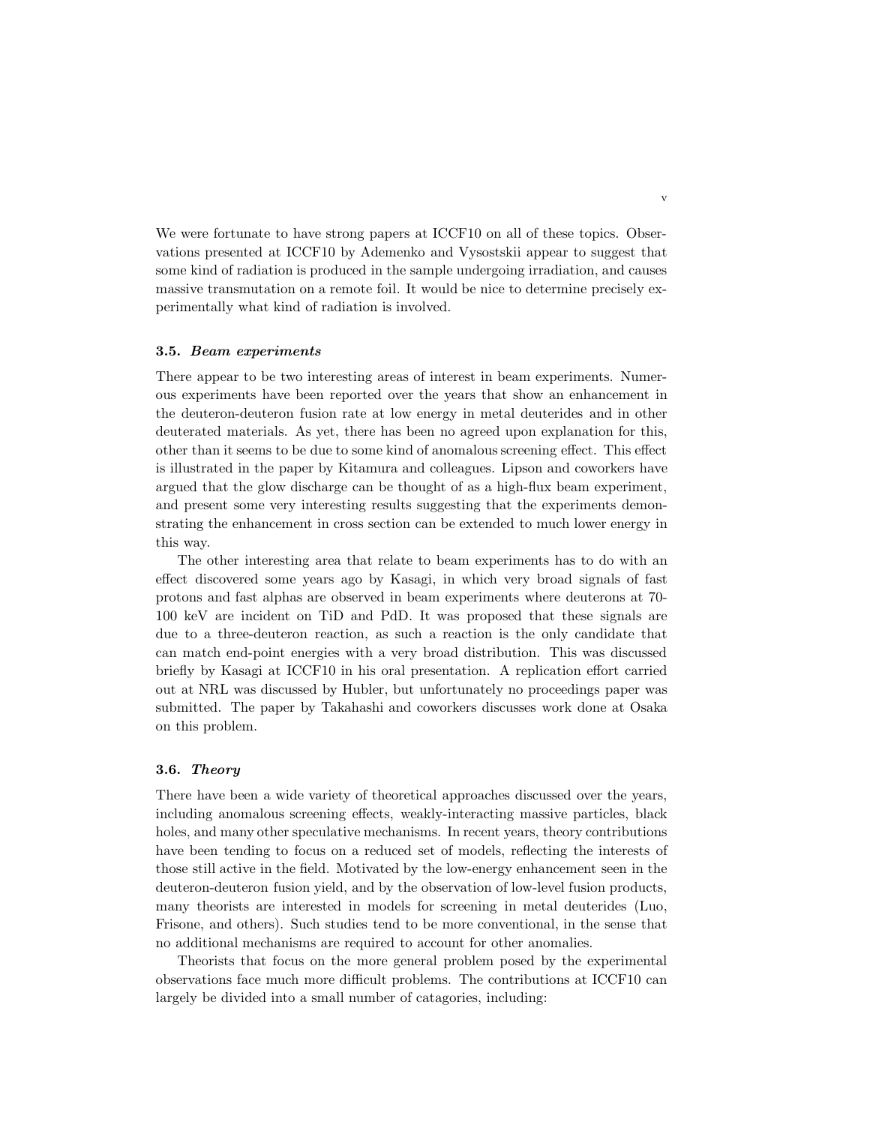We were fortunate to have strong papers at ICCF10 on all of these topics. Observations presented at ICCF10 by Ademenko and Vysostskii appear to suggest that some kind of radiation is produced in the sample undergoing irradiation, and causes massive transmutation on a remote foil. It would be nice to determine precisely experimentally what kind of radiation is involved.

#### **3.5.** *Beam experiments*

There appear to be two interesting areas of interest in beam experiments. Numerous experiments have been reported over the years that show an enhancement in the deuteron-deuteron fusion rate at low energy in metal deuterides and in other deuterated materials. As yet, there has been no agreed upon explanation for this, other than it seems to be due to some kind of anomalous screening effect. This effect is illustrated in the paper by Kitamura and colleagues. Lipson and coworkers have argued that the glow discharge can be thought of as a high-flux beam experiment, and present some very interesting results suggesting that the experiments demonstrating the enhancement in cross section can be extended to much lower energy in this way.

The other interesting area that relate to beam experiments has to do with an effect discovered some years ago by Kasagi, in which very broad signals of fast protons and fast alphas are observed in beam experiments where deuterons at 70- 100 keV are incident on TiD and PdD. It was proposed that these signals are due to a three-deuteron reaction, as such a reaction is the only candidate that can match end-point energies with a very broad distribution. This was discussed briefly by Kasagi at ICCF10 in his oral presentation. A replication effort carried out at NRL was discussed by Hubler, but unfortunately no proceedings paper was submitted. The paper by Takahashi and coworkers discusses work done at Osaka on this problem.

#### **3.6.** *Theory*

There have been a wide variety of theoretical approaches discussed over the years, including anomalous screening effects, weakly-interacting massive particles, black holes, and many other speculative mechanisms. In recent years, theory contributions have been tending to focus on a reduced set of models, reflecting the interests of those still active in the field. Motivated by the low-energy enhancement seen in the deuteron-deuteron fusion yield, and by the observation of low-level fusion products, many theorists are interested in models for screening in metal deuterides (Luo, Frisone, and others). Such studies tend to be more conventional, in the sense that no additional mechanisms are required to account for other anomalies.

Theorists that focus on the more general problem posed by the experimental observations face much more difficult problems. The contributions at ICCF10 can largely be divided into a small number of catagories, including: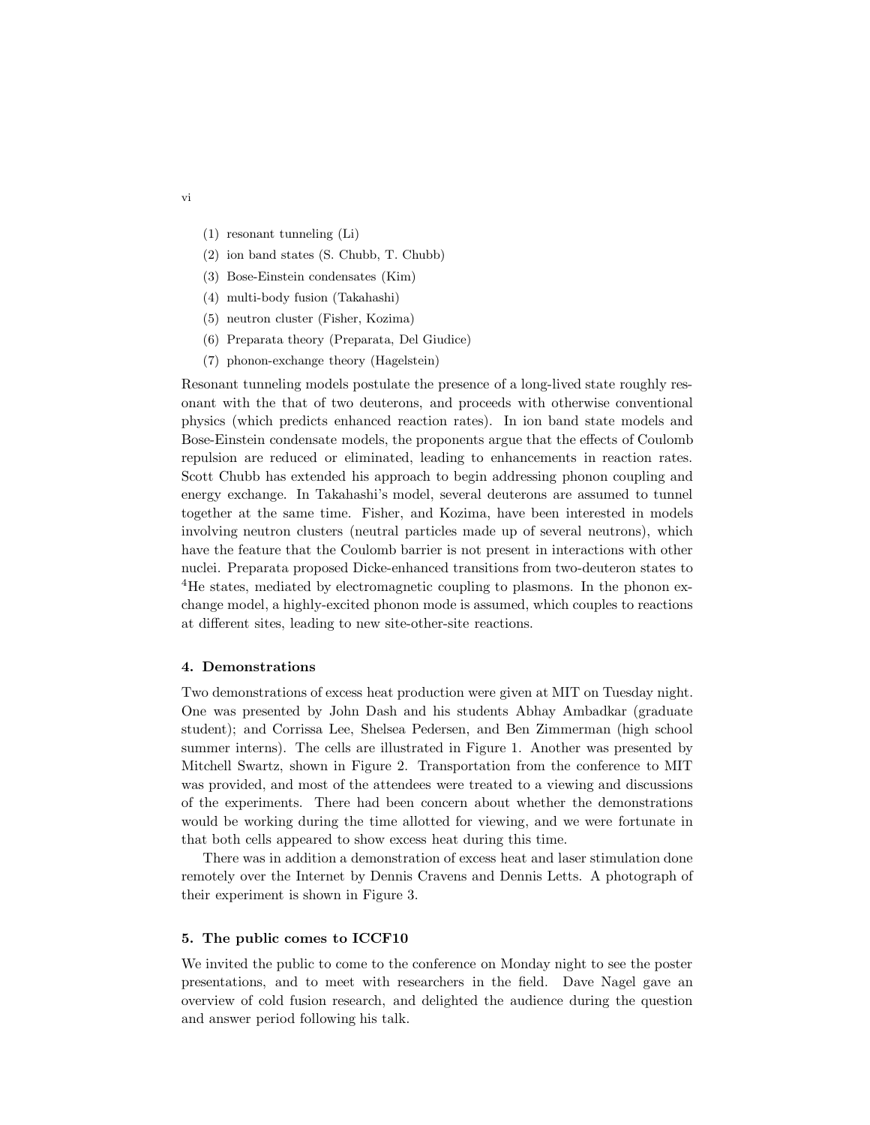- (1) resonant tunneling (Li)
- (2) ion band states (S. Chubb, T. Chubb)
- (3) Bose-Einstein condensates (Kim)
- (4) multi-body fusion (Takahashi)
- (5) neutron cluster (Fisher, Kozima)
- (6) Preparata theory (Preparata, Del Giudice)
- (7) phonon-exchange theory (Hagelstein)

Resonant tunneling models postulate the presence of a long-lived state roughly resonant with the that of two deuterons, and proceeds with otherwise conventional physics (which predicts enhanced reaction rates). In ion band state models and Bose-Einstein condensate models, the proponents argue that the effects of Coulomb repulsion are reduced or eliminated, leading to enhancements in reaction rates. Scott Chubb has extended his approach to begin addressing phonon coupling and energy exchange. In Takahashi's model, several deuterons are assumed to tunnel together at the same time. Fisher, and Kozima, have been interested in models involving neutron clusters (neutral particles made up of several neutrons), which have the feature that the Coulomb barrier is not present in interactions with other nuclei. Preparata proposed Dicke-enhanced transitions from two-deuteron states to <sup>4</sup>He states, mediated by electromagnetic coupling to plasmons. In the phonon exchange model, a highly-excited phonon mode is assumed, which couples to reactions at different sites, leading to new site-other-site reactions.

#### **4. Demonstrations**

Two demonstrations of excess heat production were given at MIT on Tuesday night. One was presented by John Dash and his students Abhay Ambadkar (graduate student); and Corrissa Lee, Shelsea Pedersen, and Ben Zimmerman (high school summer interns). The cells are illustrated in Figure 1. Another was presented by Mitchell Swartz, shown in Figure 2. Transportation from the conference to MIT was provided, and most of the attendees were treated to a viewing and discussions of the experiments. There had been concern about whether the demonstrations would be working during the time allotted for viewing, and we were fortunate in that both cells appeared to show excess heat during this time.

There was in addition a demonstration of excess heat and laser stimulation done remotely over the Internet by Dennis Cravens and Dennis Letts. A photograph of their experiment is shown in Figure 3.

## **5. The public comes to ICCF10**

We invited the public to come to the conference on Monday night to see the poster presentations, and to meet with researchers in the field. Dave Nagel gave an overview of cold fusion research, and delighted the audience during the question and answer period following his talk.

vi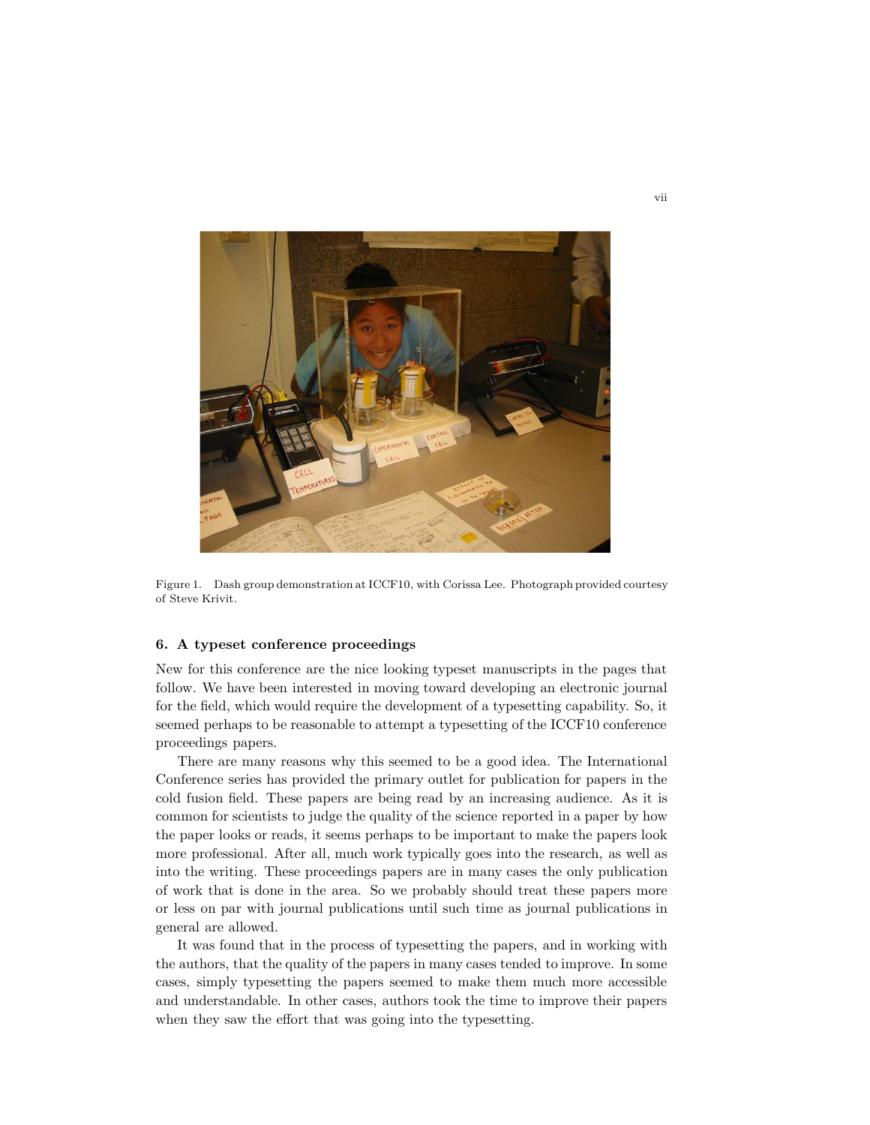

Figure 1. Dash group demonstration at ICCF10, with Corissa Lee. Photograph provided courtesy of Steve Krivit.

## **6. A typeset conference proceedings**

New for this conference are the nice looking typeset manuscripts in the pages that follow. We have been interested in moving toward developing an electronic journal for the field, which would require the development of a typesetting capability. So, it seemed perhaps to be reasonable to attempt a typesetting of the ICCF10 conference proceedings papers.

There are many reasons why this seemed to be a good idea. The International Conference series has provided the primary outlet for publication for papers in the cold fusion field. These papers are being read by an increasing audience. As it is common for scientists to judge the quality of the science reported in a paper by how the paper looks or reads, it seems perhaps to be important to make the papers look more professional. After all, much work typically goes into the research, as well as into the writing. These proceedings papers are in many cases the only publication of work that is done in the area. So we probably should treat these papers more or less on par with journal publications until such time as journal publications in general are allowed.

It was found that in the process of typesetting the papers, and in working with the authors, that the quality of the papers in many cases tended to improve. In some cases, simply typesetting the papers seemed to make them much more accessible and understandable. In other cases, authors took the time to improve their papers when they saw the effort that was going into the typesetting.

vii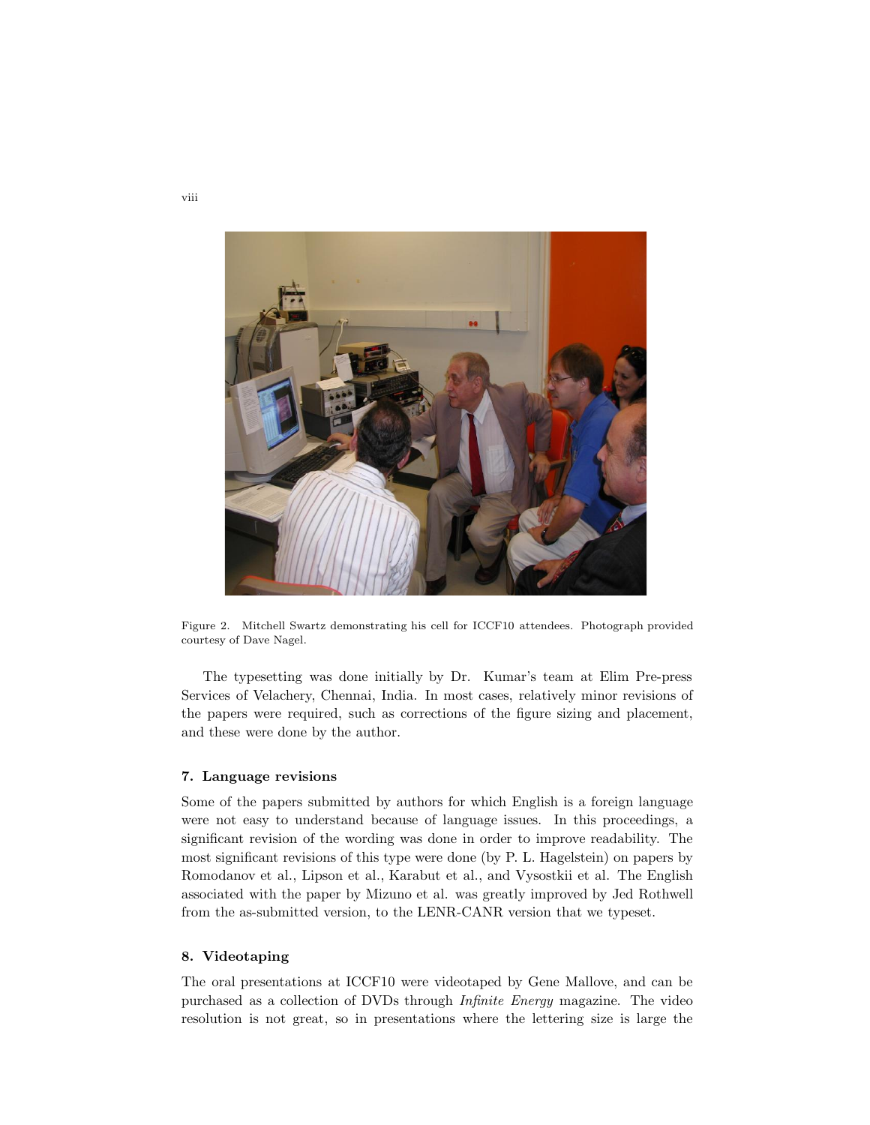

Figure 2. Mitchell Swartz demonstrating his cell for ICCF10 attendees. Photograph provided courtesy of Dave Nagel.

The typesetting was done initially by Dr. Kumar's team at Elim Pre-press Services of Velachery, Chennai, India. In most cases, relatively minor revisions of the papers were required, such as corrections of the figure sizing and placement, and these were done by the author.

## **7. Language revisions**

Some of the papers submitted by authors for which English is a foreign language were not easy to understand because of language issues. In this proceedings, a significant revision of the wording was done in order to improve readability. The most significant revisions of this type were done (by P. L. Hagelstein) on papers by Romodanov et al., Lipson et al., Karabut et al., and Vysostkii et al. The English associated with the paper by Mizuno et al. was greatly improved by Jed Rothwell from the as-submitted version, to the LENR-CANR version that we typeset.

## **8. Videotaping**

The oral presentations at ICCF10 were videotaped by Gene Mallove, and can be purchased as a collection of DVDs through *Infinite Energy* magazine. The video resolution is not great, so in presentations where the lettering size is large the

viii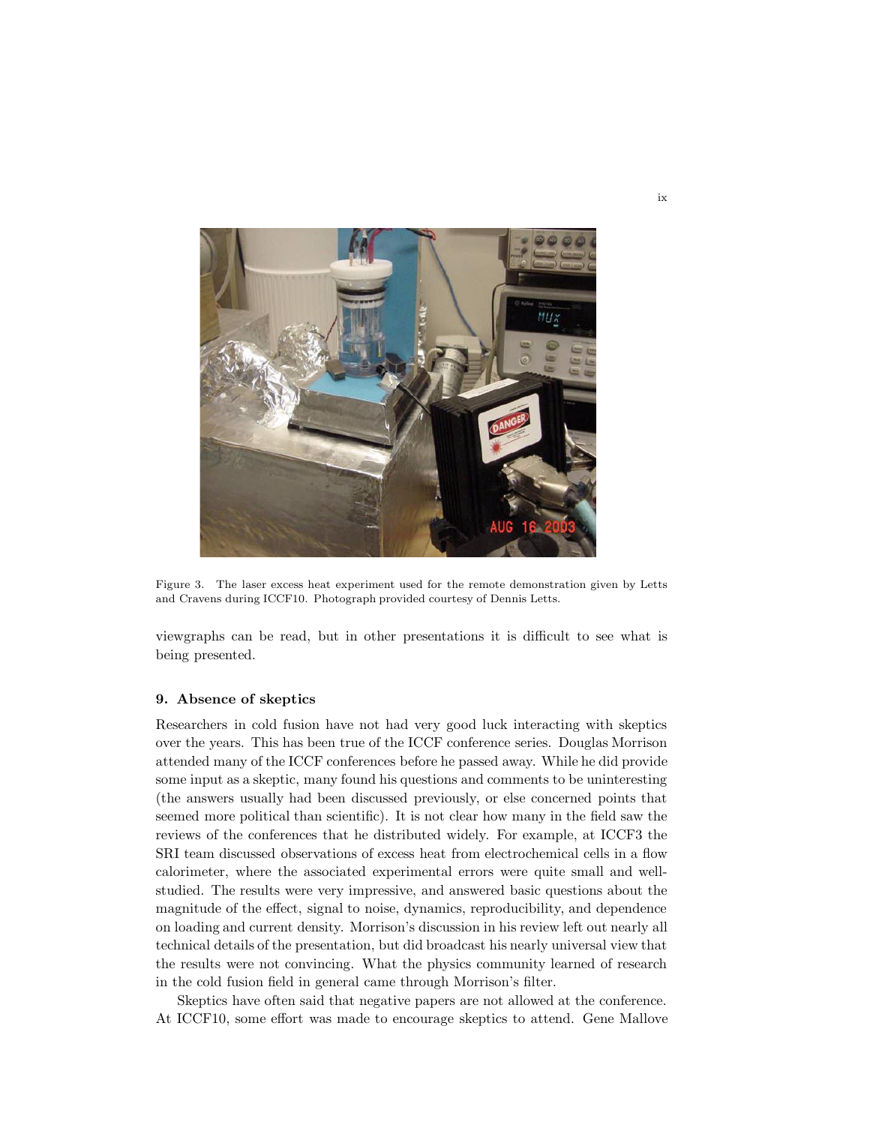

Figure 3. The laser excess heat experiment used for the remote demonstration given by Letts and Cravens during ICCF10. Photograph provided courtesy of Dennis Letts.

viewgraphs can be read, but in other presentations it is difficult to see what is being presented.

## **9. Absence of skeptics**

Researchers in cold fusion have not had very good luck interacting with skeptics over the years. This has been true of the ICCF conference series. Douglas Morrison attended many of the ICCF conferences before he passed away. While he did provide some input as a skeptic, many found his questions and comments to be uninteresting (the answers usually had been discussed previously, or else concerned points that seemed more political than scientific). It is not clear how many in the field saw the reviews of the conferences that he distributed widely. For example, at ICCF3 the SRI team discussed observations of excess heat from electrochemical cells in a flow calorimeter, where the associated experimental errors were quite small and wellstudied. The results were very impressive, and answered basic questions about the magnitude of the effect, signal to noise, dynamics, reproducibility, and dependence on loading and current density. Morrison's discussion in his review left out nearly all technical details of the presentation, but did broadcast his nearly universal view that the results were not convincing. What the physics community learned of research in the cold fusion field in general came through Morrison's filter.

Skeptics have often said that negative papers are not allowed at the conference. At ICCF10, some effort was made to encourage skeptics to attend. Gene Mallove

ix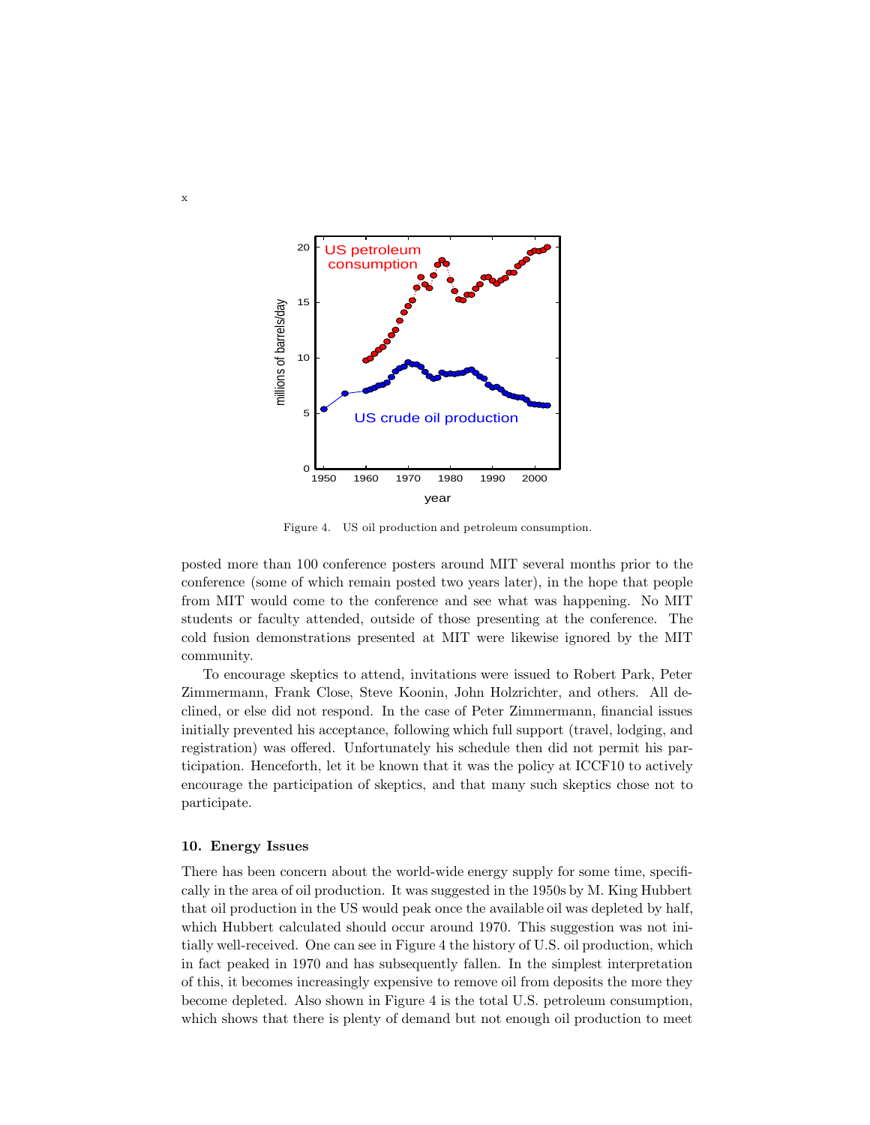

Figure 4. US oil production and petroleum consumption.

posted more than 100 conference posters around MIT several months prior to the conference (some of which remain posted two years later), in the hope that people from MIT would come to the conference and see what was happening. No MIT students or faculty attended, outside of those presenting at the conference. The cold fusion demonstrations presented at MIT were likewise ignored by the MIT community.

To encourage skeptics to attend, invitations were issued to Robert Park, Peter Zimmermann, Frank Close, Steve Koonin, John Holzrichter, and others. All declined, or else did not respond. In the case of Peter Zimmermann, financial issues initially prevented his acceptance, following which full support (travel, lodging, and registration) was offered. Unfortunately his schedule then did not permit his participation. Henceforth, let it be known that it was the policy at ICCF10 to actively encourage the participation of skeptics, and that many such skeptics chose not to participate.

#### **10. Energy Issues**

There has been concern about the world-wide energy supply for some time, specifically in the area of oil production. It was suggested in the 1950s by M. King Hubbert that oil production in the US would peak once the available oil was depleted by half, which Hubbert calculated should occur around 1970. This suggestion was not initially well-received. One can see in Figure 4 the history of U.S. oil production, which in fact peaked in 1970 and has subsequently fallen. In the simplest interpretation of this, it becomes increasingly expensive to remove oil from deposits the more they become depleted. Also shown in Figure 4 is the total U.S. petroleum consumption, which shows that there is plenty of demand but not enough oil production to meet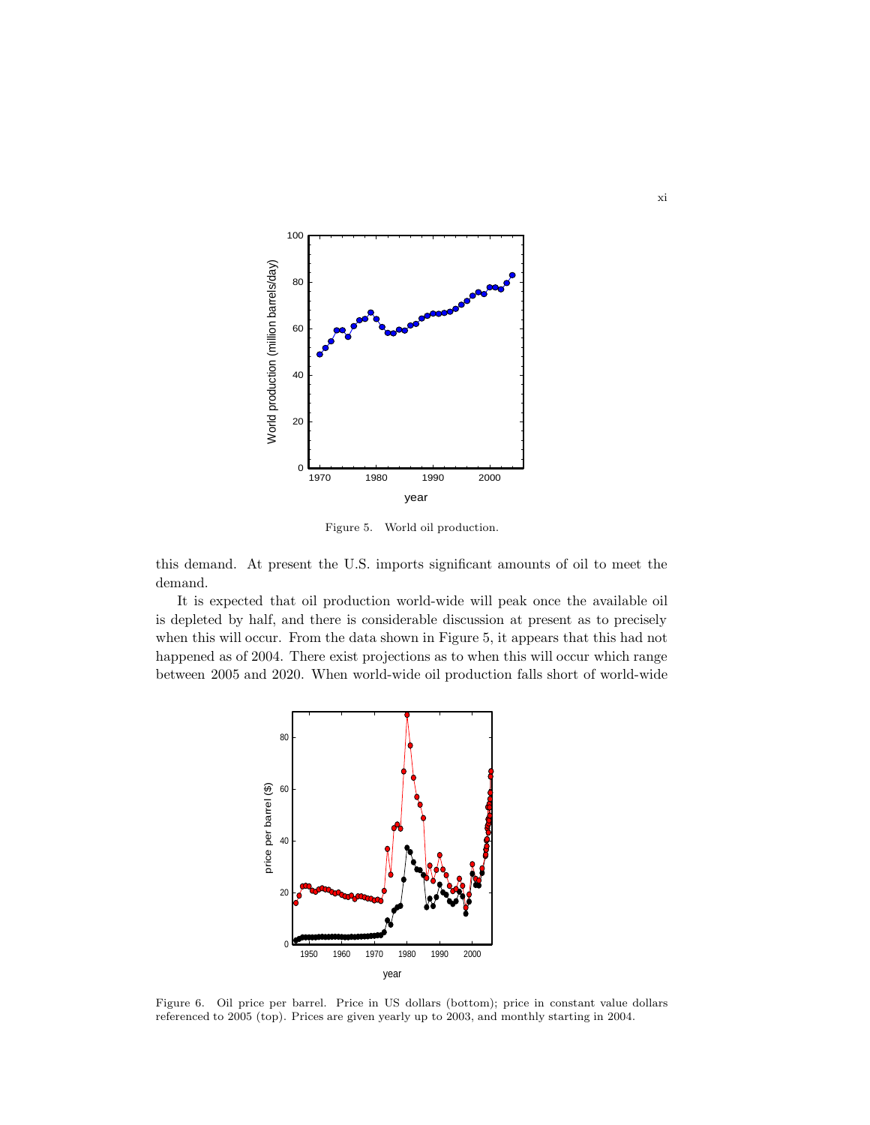

Figure 5. World oil production.

this demand. At present the U.S. imports significant amounts of oil to meet the demand.

It is expected that oil production world-wide will peak once the available oil is depleted by half, and there is considerable discussion at present as to precisely when this will occur. From the data shown in Figure 5, it appears that this had not happened as of 2004. There exist projections as to when this will occur which range between 2005 and 2020. When world-wide oil production falls short of world-wide



Figure 6. Oil price per barrel. Price in US dollars (bottom); price in constant value dollars referenced to 2005 (top). Prices are given yearly up to 2003, and monthly starting in 2004.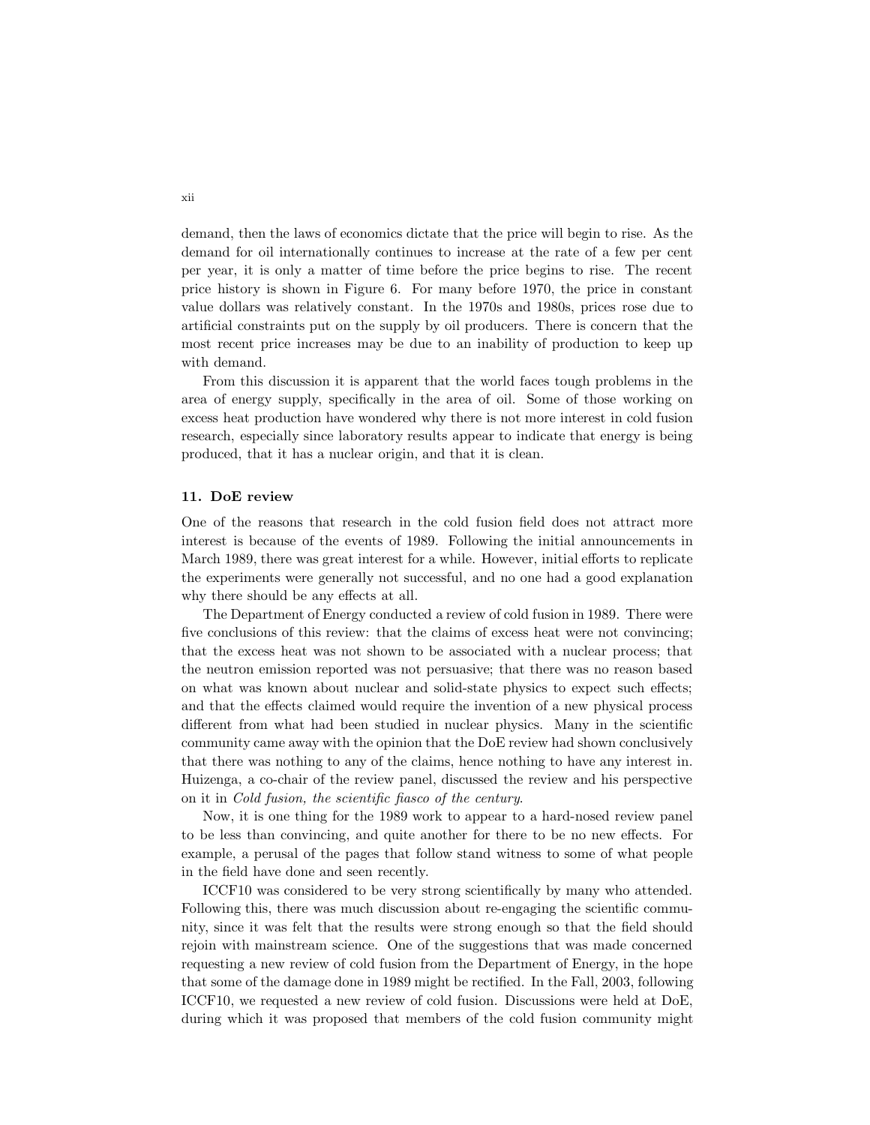demand, then the laws of economics dictate that the price will begin to rise. As the demand for oil internationally continues to increase at the rate of a few per cent per year, it is only a matter of time before the price begins to rise. The recent price history is shown in Figure 6. For many before 1970, the price in constant value dollars was relatively constant. In the 1970s and 1980s, prices rose due to artificial constraints put on the supply by oil producers. There is concern that the most recent price increases may be due to an inability of production to keep up with demand.

From this discussion it is apparent that the world faces tough problems in the area of energy supply, specifically in the area of oil. Some of those working on excess heat production have wondered why there is not more interest in cold fusion research, especially since laboratory results appear to indicate that energy is being produced, that it has a nuclear origin, and that it is clean.

#### **11. DoE review**

One of the reasons that research in the cold fusion field does not attract more interest is because of the events of 1989. Following the initial announcements in March 1989, there was great interest for a while. However, initial efforts to replicate the experiments were generally not successful, and no one had a good explanation why there should be any effects at all.

The Department of Energy conducted a review of cold fusion in 1989. There were five conclusions of this review: that the claims of excess heat were not convincing; that the excess heat was not shown to be associated with a nuclear process; that the neutron emission reported was not persuasive; that there was no reason based on what was known about nuclear and solid-state physics to expect such effects; and that the effects claimed would require the invention of a new physical process different from what had been studied in nuclear physics. Many in the scientific community came away with the opinion that the DoE review had shown conclusively that there was nothing to any of the claims, hence nothing to have any interest in. Huizenga, a co-chair of the review panel, discussed the review and his perspective on it in *Cold fusion, the scientific fiasco of the century*.

Now, it is one thing for the 1989 work to appear to a hard-nosed review panel to be less than convincing, and quite another for there to be no new effects. For example, a perusal of the pages that follow stand witness to some of what people in the field have done and seen recently.

ICCF10 was considered to be very strong scientifically by many who attended. Following this, there was much discussion about re-engaging the scientific community, since it was felt that the results were strong enough so that the field should rejoin with mainstream science. One of the suggestions that was made concerned requesting a new review of cold fusion from the Department of Energy, in the hope that some of the damage done in 1989 might be rectified. In the Fall, 2003, following ICCF10, we requested a new review of cold fusion. Discussions were held at DoE, during which it was proposed that members of the cold fusion community might

xii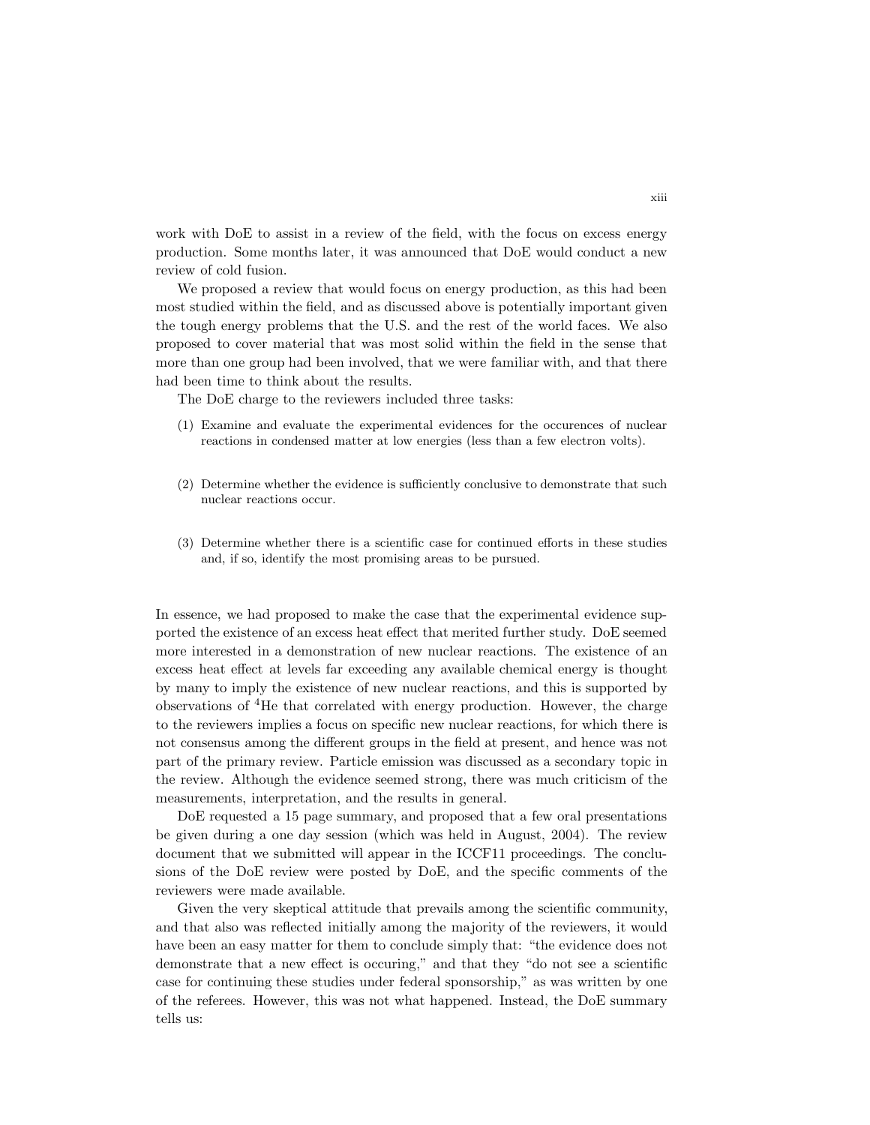work with DoE to assist in a review of the field, with the focus on excess energy production. Some months later, it was announced that DoE would conduct a new review of cold fusion.

We proposed a review that would focus on energy production, as this had been most studied within the field, and as discussed above is potentially important given the tough energy problems that the U.S. and the rest of the world faces. We also proposed to cover material that was most solid within the field in the sense that more than one group had been involved, that we were familiar with, and that there had been time to think about the results.

The DoE charge to the reviewers included three tasks:

- (1) Examine and evaluate the experimental evidences for the occurences of nuclear reactions in condensed matter at low energies (less than a few electron volts).
- (2) Determine whether the evidence is sufficiently conclusive to demonstrate that such nuclear reactions occur.
- (3) Determine whether there is a scientific case for continued efforts in these studies and, if so, identify the most promising areas to be pursued.

In essence, we had proposed to make the case that the experimental evidence supported the existence of an excess heat effect that merited further study. DoE seemed more interested in a demonstration of new nuclear reactions. The existence of an excess heat effect at levels far exceeding any available chemical energy is thought by many to imply the existence of new nuclear reactions, and this is supported by observations of <sup>4</sup>He that correlated with energy production. However, the charge to the reviewers implies a focus on specific new nuclear reactions, for which there is not consensus among the different groups in the field at present, and hence was not part of the primary review. Particle emission was discussed as a secondary topic in the review. Although the evidence seemed strong, there was much criticism of the measurements, interpretation, and the results in general.

DoE requested a 15 page summary, and proposed that a few oral presentations be given during a one day session (which was held in August, 2004). The review document that we submitted will appear in the ICCF11 proceedings. The conclusions of the DoE review were posted by DoE, and the specific comments of the reviewers were made available.

Given the very skeptical attitude that prevails among the scientific community, and that also was reflected initially among the majority of the reviewers, it would have been an easy matter for them to conclude simply that: "the evidence does not demonstrate that a new effect is occuring," and that they "do not see a scientific case for continuing these studies under federal sponsorship," as was written by one of the referees. However, this was not what happened. Instead, the DoE summary tells us: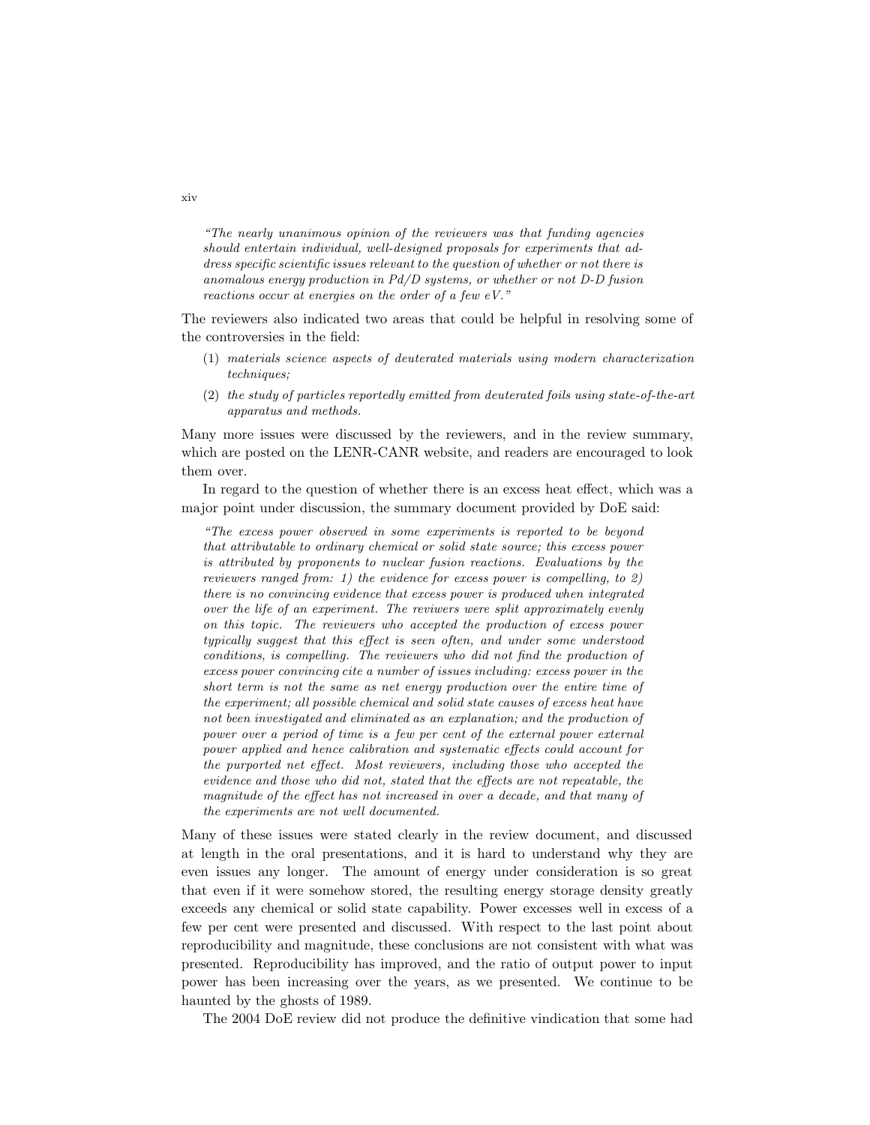"The nearly unanimous opinion of the reviewers was that funding agencies should entertain individual, well-designed proposals for experiments that address specific scientific issues relevant to the question of whether or not there is anomalous energy production in Pd/D systems, or whether or not D-D fusion reactions occur at energies on the order of a few eV."

The reviewers also indicated two areas that could be helpful in resolving some of the controversies in the field:

- (1) materials science aspects of deuterated materials using modern characterization techniques;
- (2) the study of particles reportedly emitted from deuterated foils using state-of-the-art apparatus and methods.

Many more issues were discussed by the reviewers, and in the review summary, which are posted on the LENR-CANR website, and readers are encouraged to look them over.

In regard to the question of whether there is an excess heat effect, which was a major point under discussion, the summary document provided by DoE said:

"The excess power observed in some experiments is reported to be beyond that attributable to ordinary chemical or solid state source; this excess power is attributed by proponents to nuclear fusion reactions. Evaluations by the reviewers ranged from: 1) the evidence for excess power is compelling, to 2) there is no convincing evidence that excess power is produced when integrated over the life of an experiment. The reviwers were split approximately evenly on this topic. The reviewers who accepted the production of excess power typically suggest that this effect is seen often, and under some understood conditions, is compelling. The reviewers who did not find the production of excess power convincing cite a number of issues including: excess power in the short term is not the same as net energy production over the entire time of the experiment; all possible chemical and solid state causes of excess heat have not been investigated and eliminated as an explanation; and the production of power over a period of time is a few per cent of the external power external power applied and hence calibration and systematic effects could account for the purported net effect. Most reviewers, including those who accepted the evidence and those who did not, stated that the effects are not repeatable, the magnitude of the effect has not increased in over a decade, and that many of the experiments are not well documented.

Many of these issues were stated clearly in the review document, and discussed at length in the oral presentations, and it is hard to understand why they are even issues any longer. The amount of energy under consideration is so great that even if it were somehow stored, the resulting energy storage density greatly exceeds any chemical or solid state capability. Power excesses well in excess of a few per cent were presented and discussed. With respect to the last point about reproducibility and magnitude, these conclusions are not consistent with what was presented. Reproducibility has improved, and the ratio of output power to input power has been increasing over the years, as we presented. We continue to be haunted by the ghosts of 1989.

The 2004 DoE review did not produce the definitive vindication that some had

xiv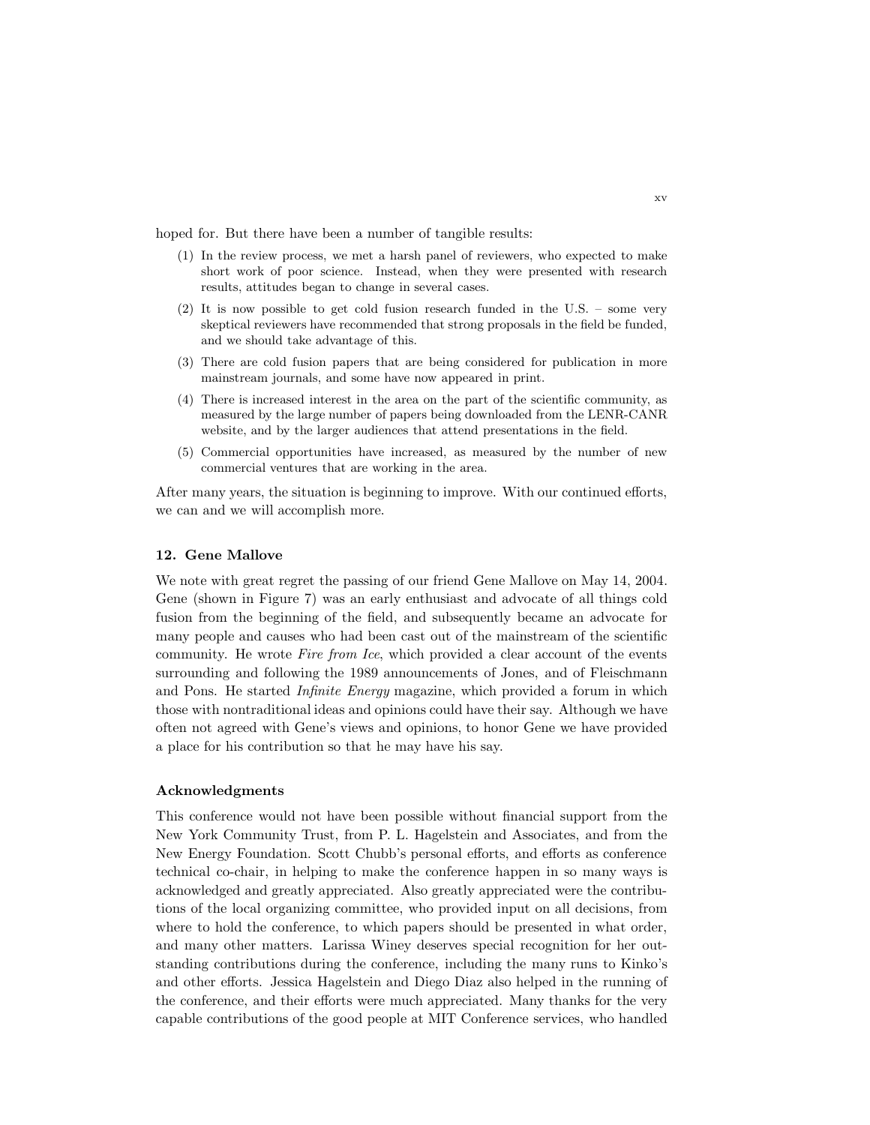hoped for. But there have been a number of tangible results:

- (1) In the review process, we met a harsh panel of reviewers, who expected to make short work of poor science. Instead, when they were presented with research results, attitudes began to change in several cases.
- (2) It is now possible to get cold fusion research funded in the U.S. some very skeptical reviewers have recommended that strong proposals in the field be funded, and we should take advantage of this.
- (3) There are cold fusion papers that are being considered for publication in more mainstream journals, and some have now appeared in print.
- (4) There is increased interest in the area on the part of the scientific community, as measured by the large number of papers being downloaded from the LENR-CANR website, and by the larger audiences that attend presentations in the field.
- (5) Commercial opportunities have increased, as measured by the number of new commercial ventures that are working in the area.

After many years, the situation is beginning to improve. With our continued efforts, we can and we will accomplish more.

## **12. Gene Mallove**

We note with great regret the passing of our friend Gene Mallove on May 14, 2004. Gene (shown in Figure 7) was an early enthusiast and advocate of all things cold fusion from the beginning of the field, and subsequently became an advocate for many people and causes who had been cast out of the mainstream of the scientific community. He wrote *Fire from Ice*, which provided a clear account of the events surrounding and following the 1989 announcements of Jones, and of Fleischmann and Pons. He started *Infinite Energy* magazine, which provided a forum in which those with nontraditional ideas and opinions could have their say. Although we have often not agreed with Gene's views and opinions, to honor Gene we have provided a place for his contribution so that he may have his say.

### **Acknowledgments**

This conference would not have been possible without financial support from the New York Community Trust, from P. L. Hagelstein and Associates, and from the New Energy Foundation. Scott Chubb's personal efforts, and efforts as conference technical co-chair, in helping to make the conference happen in so many ways is acknowledged and greatly appreciated. Also greatly appreciated were the contributions of the local organizing committee, who provided input on all decisions, from where to hold the conference, to which papers should be presented in what order, and many other matters. Larissa Winey deserves special recognition for her outstanding contributions during the conference, including the many runs to Kinko's and other efforts. Jessica Hagelstein and Diego Diaz also helped in the running of the conference, and their efforts were much appreciated. Many thanks for the very capable contributions of the good people at MIT Conference services, who handled